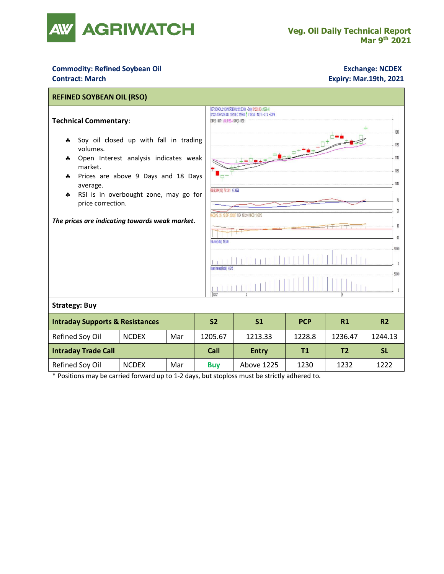

## **Commodity: Refined Soybean Oil <b>Exchange: NCDEX Exchange: NCDEX Contract: March Expiry: Mar.19th, 2021**